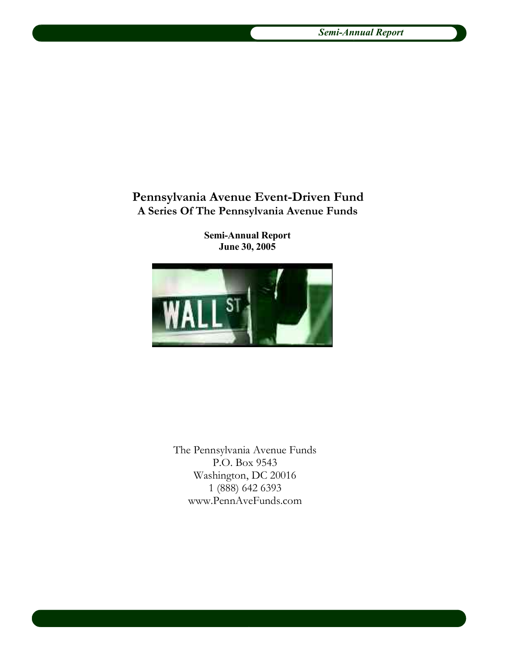# **Pennsylvania Avenue Event-Driven Fund A Series Of The Pennsylvania Avenue Funds**

**Semi-Annual Report June 30, 2005**



The Pennsylvania Avenue Funds P.O. Box 9543 Washington, DC 20016 1 (888) 642 6393 www.PennAveFunds.com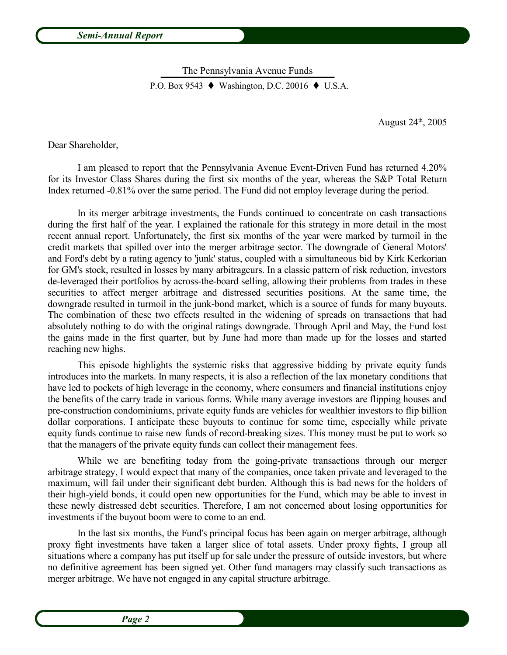The Pennsylvania Avenue Funds  $\frac{1}{100}$   $\frac{1}{100}$   $\frac{1}{100}$   $\frac{1}{100}$   $\frac{1}{100}$   $\frac{1}{100}$   $\frac{1}{100}$   $\frac{1}{100}$   $\frac{1}{100}$   $\frac{1}{100}$   $\frac{1}{100}$   $\frac{1}{100}$   $\frac{1}{100}$   $\frac{1}{100}$   $\frac{1}{100}$   $\frac{1}{100}$   $\frac{1}{100}$   $\frac{1}{100}$   $\frac{1$ P.O. Box 9543  $\blacklozenge$  Washington, D.C. 20016  $\blacklozenge$  U.S.A.

August 24<sup>th</sup>, 2005

Dear Shareholder,

I am pleased to report that the Pennsylvania Avenue Event-Driven Fund has returned 4.20% for its Investor Class Shares during the first six months of the year, whereas the S&P Total Return Index returned -0.81% over the same period. The Fund did not employ leverage during the period.

In its merger arbitrage investments, the Funds continued to concentrate on cash transactions during the first half of the year. I explained the rationale for this strategy in more detail in the most recent annual report. Unfortunately, the first six months of the year were marked by turmoil in the credit markets that spilled over into the merger arbitrage sector. The downgrade of General Motors' and Ford's debt by a rating agency to 'junk' status, coupled with a simultaneous bid by Kirk Kerkorian for GM's stock, resulted in losses by many arbitrageurs. In a classic pattern of risk reduction, investors de-leveraged their portfolios by across-the-board selling, allowing their problems from trades in these securities to affect merger arbitrage and distressed securities positions. At the same time, the downgrade resulted in turmoil in the junk-bond market, which is a source of funds for many buyouts. The combination of these two effects resulted in the widening of spreads on transactions that had absolutely nothing to do with the original ratings downgrade. Through April and May, the Fund lost the gains made in the first quarter, but by June had more than made up for the losses and started reaching new highs.

This episode highlights the systemic risks that aggressive bidding by private equity funds introduces into the markets. In many respects, it is also a reflection of the lax monetary conditions that have led to pockets of high leverage in the economy, where consumers and financial institutions enjoy the benefits of the carry trade in various forms. While many average investors are flipping houses and pre-construction condominiums, private equity funds are vehicles for wealthier investors to flip billion dollar corporations. I anticipate these buyouts to continue for some time, especially while private equity funds continue to raise new funds of record-breaking sizes. This money must be put to work so that the managers of the private equity funds can collect their management fees.

While we are benefiting today from the going-private transactions through our merger arbitrage strategy, I would expect that many of the companies, once taken private and leveraged to the maximum, will fail under their significant debt burden. Although this is bad news for the holders of their high-yield bonds, it could open new opportunities for the Fund, which may be able to invest in these newly distressed debt securities. Therefore, I am not concerned about losing opportunities for investments if the buyout boom were to come to an end.

In the last six months, the Fund's principal focus has been again on merger arbitrage, although proxy fight investments have taken a larger slice of total assets. Under proxy fights, I group all situations where a company has put itself up for sale under the pressure of outside investors, but where no definitive agreement has been signed yet. Other fund managers may classify such transactions as merger arbitrage. We have not engaged in any capital structure arbitrage.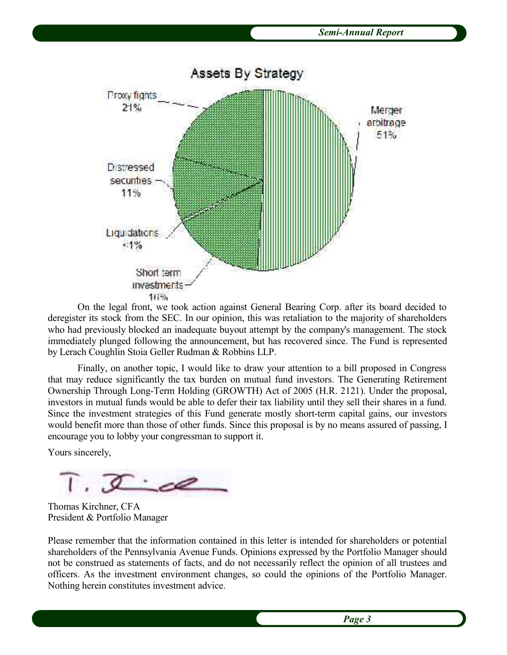

On the legal front, we took action against General Bearing Corp. after its board decided to deregister its stock from the SEC. In our opinion, this was retaliation to the majority of shareholders who had previously blocked an inadequate buyout attempt by the company's management. The stock immediately plunged following the announcement, but has recovered since. The Fund is represented by Lerach Coughlin Stoia Geller Rudman & Robbins LLP.

Finally, on another topic, I would like to draw your attention to a bill proposed in Congress that may reduce significantly the tax burden on mutual fund investors. The Generating Retirement Ownership Through Long-Term Holding (GROWTH) Act of 2005 (H.R. 2121). Under the proposal, investors in mutual funds would be able to defer their tax liability until they sell their shares in a fund. Since the investment strategies of this Fund generate mostly short-term capital gains, our investors would benefit more than those of other funds. Since this proposal is by no means assured of passing, I encourage you to lobby your congressman to support it.

Yours sincerely,

 $T. \n\mathcal{L}$ 

Thomas Kirchner, CFA President & Portfolio Manager

Please remember that the information contained in this letter is intended for shareholders or potential shareholders of the Pennsylvania Avenue Funds. Opinions expressed by the Portfolio Manager should not be construed as statements of facts, and do not necessarily reflect the opinion of all trustees and officers. As the investment environment changes, so could the opinions of the Portfolio Manager. Nothing herein constitutes investment advice.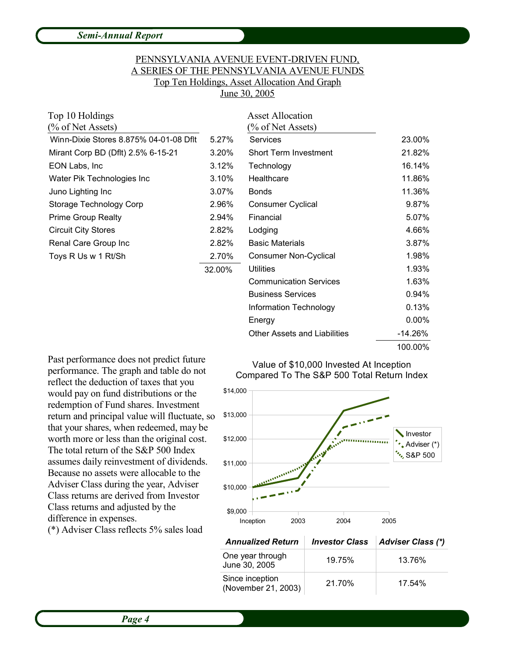#### *Semi-Annual Report*

### PENNSYLVANIA AVENUE EVENT-DRIVEN FUND, A SERIES OF THE PENNSYLVANIA AVENUE FUNDS Top Ten Holdings, Asset Allocation And Graph June 30, 2005

| Top 10 Holdings                        |        | <b>Asset Allocation</b>       |        |
|----------------------------------------|--------|-------------------------------|--------|
| % of Net Assets)                       |        | (% of Net Assets)             |        |
| Winn-Dixie Stores 8.875% 04-01-08 Dflt | 5.27%  | <b>Services</b>               | 23.00% |
| Mirant Corp BD (Dflt) 2.5% 6-15-21     | 3.20%  | <b>Short Term Investment</b>  | 21.82% |
| EON Labs, Inc.                         | 3.12%  | Technology                    | 16.14% |
| Water Pik Technologies Inc             | 3.10%  | Healthcare                    | 11.86% |
| Juno Lighting Inc                      | 3.07%  | <b>Bonds</b>                  | 11.36% |
| Storage Technology Corp                | 2.96%  | <b>Consumer Cyclical</b>      | 9.87%  |
| <b>Prime Group Realty</b>              | 2.94%  | Financial                     | 5.07%  |
| <b>Circuit City Stores</b>             | 2.82%  | Lodging                       | 4.66%  |
| Renal Care Group Inc                   | 2.82%  | <b>Basic Materials</b>        | 3.87%  |
| Toys R Us w 1 Rt/Sh                    | 2.70%  | <b>Consumer Non-Cyclical</b>  | 1.98%  |
|                                        | 32.00% | <b>Utilities</b>              | 1.93%  |
|                                        |        | <b>Communication Services</b> | 1.63%  |
|                                        |        | <b>Business Services</b>      | 0.94%  |
|                                        |        | Information Technology        | 0.13%  |
|                                        |        | Energy                        | 0.00%  |

Past performance does not predict future performance. The graph and table do not reflect the deduction of taxes that you would pay on fund distributions or the redemption of Fund shares. Investment return and principal value will fluctuate, so that your shares, when redeemed, may be worth more or less than the original cost. The total return of the S&P 500 Index assumes daily reinvestment of dividends. Because no assets were allocable to the Adviser Class during the year, Adviser Class returns are derived from Investor Class returns and adjusted by the difference in expenses. (\*) Adviser Class reflects 5% sales load

Value of \$10,000 Invested At Inception Compared To The S&P 500 Total Return Index

Other Assets and Liabilities -14.26%

100.00%

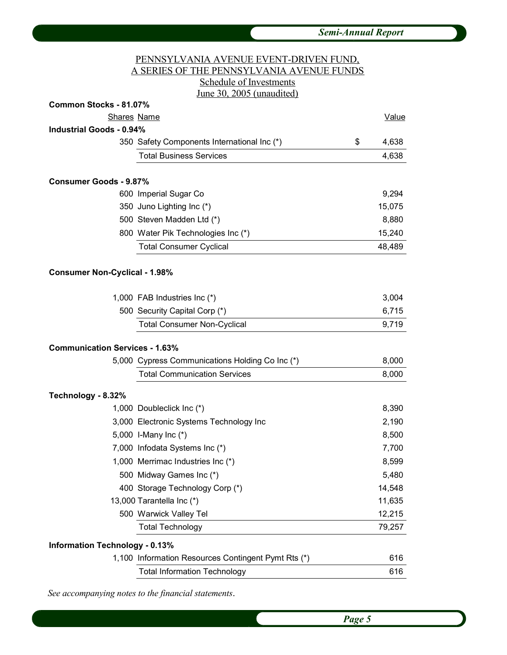### PENNSYLVANIA AVENUE EVENT-DRIVEN FUND, A SERIES OF THE PENNSYLVANIA AVENUE FUNDS Schedule of Investments June 30, 2005 (unaudited)

| Common Stocks - 81.07%                |                                                     |             |
|---------------------------------------|-----------------------------------------------------|-------------|
| <b>Shares Name</b>                    |                                                     | Value       |
| <b>Industrial Goods - 0.94%</b>       |                                                     |             |
|                                       | 350 Safety Components International Inc (*)         | \$<br>4,638 |
|                                       | <b>Total Business Services</b>                      | 4,638       |
| <b>Consumer Goods - 9.87%</b>         |                                                     |             |
|                                       | 600 Imperial Sugar Co                               | 9,294       |
|                                       | 350 Juno Lighting Inc (*)                           | 15,075      |
|                                       | 500 Steven Madden Ltd (*)                           | 8,880       |
|                                       | 800 Water Pik Technologies Inc (*)                  | 15,240      |
|                                       | <b>Total Consumer Cyclical</b>                      | 48,489      |
| <b>Consumer Non-Cyclical - 1.98%</b>  |                                                     |             |
|                                       | 1,000 FAB Industries Inc (*)                        | 3,004       |
|                                       | 500 Security Capital Corp (*)                       | 6,715       |
|                                       | <b>Total Consumer Non-Cyclical</b>                  | 9,719       |
| <b>Communication Services - 1.63%</b> |                                                     |             |
|                                       | 5,000 Cypress Communications Holding Co Inc (*)     | 8,000       |
|                                       | <b>Total Communication Services</b>                 | 8,000       |
| Technology - 8.32%                    |                                                     |             |
|                                       | 1,000 Doubleclick Inc (*)                           | 8,390       |
|                                       | 3,000 Electronic Systems Technology Inc             | 2,190       |
|                                       | 5,000 I-Many Inc (*)                                | 8,500       |
|                                       | 7,000 Infodata Systems Inc (*)                      | 7,700       |
|                                       | 1,000 Merrimac Industries Inc (*)                   | 8,599       |
|                                       | 500 Midway Games Inc (*)                            | 5,480       |
|                                       | 400 Storage Technology Corp (*)                     | 14,548      |
|                                       | 13,000 Tarantella Inc (*)                           | 11,635      |
|                                       | 500 Warwick Valley Tel                              | 12,215      |
|                                       | <b>Total Technology</b>                             | 79,257      |
| <b>Information Technology - 0.13%</b> |                                                     |             |
|                                       | 1,100 Information Resources Contingent Pymt Rts (*) | 616         |
|                                       | <b>Total Information Technology</b>                 | 616         |

*See accompanying notes to the financial statements*.

*Page 5*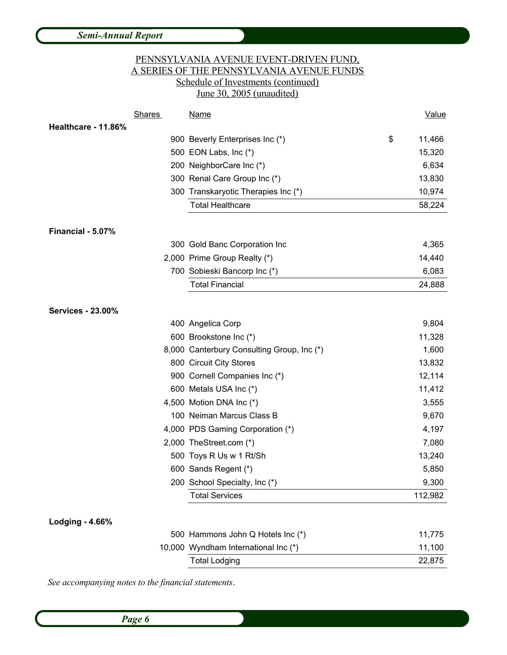|                          | <b>Shares</b> | <b>Name</b>                                | Value        |
|--------------------------|---------------|--------------------------------------------|--------------|
| Healthcare - 11.86%      |               | 900 Beverly Enterprises Inc (*)            | \$<br>11,466 |
|                          |               | 500 EON Labs, Inc (*)                      | 15,320       |
|                          |               | 200 NeighborCare Inc (*)                   | 6,634        |
|                          |               | 300 Renal Care Group Inc (*)               | 13,830       |
|                          |               | 300 Transkaryotic Therapies Inc (*)        | 10,974       |
|                          |               | <b>Total Healthcare</b>                    | 58,224       |
|                          |               |                                            |              |
| Financial - 5.07%        |               |                                            |              |
|                          |               | 300 Gold Banc Corporation Inc              | 4,365        |
|                          |               | 2,000 Prime Group Realty (*)               | 14,440       |
|                          |               | 700 Sobieski Bancorp Inc (*)               | 6,083        |
|                          |               | <b>Total Financial</b>                     | 24,888       |
| <b>Services - 23.00%</b> |               |                                            |              |
|                          |               | 400 Angelica Corp                          | 9,804        |
|                          |               | 600 Brookstone Inc (*)                     | 11,328       |
|                          |               | 8,000 Canterbury Consulting Group, Inc (*) | 1,600        |
|                          |               | 800 Circuit City Stores                    | 13,832       |
|                          |               | 900 Cornell Companies Inc (*)              | 12,114       |
|                          |               | 600 Metals USA Inc (*)                     | 11,412       |
|                          |               | 4,500 Motion DNA Inc (*)                   | 3,555        |
|                          |               | 100 Neiman Marcus Class B                  | 9,670        |
|                          |               | 4,000 PDS Gaming Corporation (*)           | 4,197        |
|                          |               | 2,000 TheStreet.com (*)                    | 7,080        |
|                          |               | 500 Toys R Us w 1 Rt/Sh                    | 13,240       |
|                          |               | 600 Sands Regent (*)                       | 5,850        |
|                          |               | 200 School Specialty, Inc (*)              | 9,300        |
|                          |               | <b>Total Services</b>                      | 112,982      |
| Lodging - 4.66%          |               |                                            |              |
|                          |               | 500 Hammons John Q Hotels Inc (*)          | 11,775       |
|                          |               | 10,000 Wyndham International Inc (*)       | 11,100       |
|                          |               | <b>Total Lodging</b>                       | 22,875       |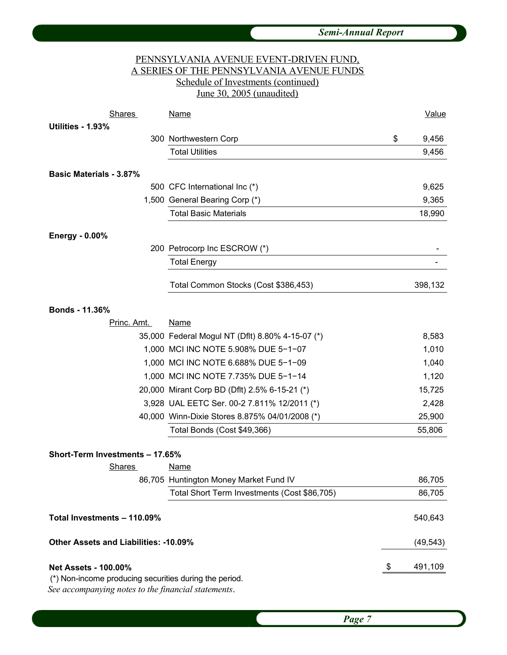| PENNSYLVANIA AVENUE EVENT-DRIVEN FUND,    |
|-------------------------------------------|
| A SERIES OF THE PENNSYLVANIA AVENUE FUNDS |
| Schedule of Investments (continued)       |
| June 30, 2005 (unaudited)                 |

| <b>Shares</b><br>Utilities - 1.93%                                                    | <u>Name</u>                                      | <u>Value</u>  |
|---------------------------------------------------------------------------------------|--------------------------------------------------|---------------|
|                                                                                       | 300 Northwestern Corp                            | \$<br>9,456   |
|                                                                                       | <b>Total Utilities</b>                           | 9,456         |
|                                                                                       |                                                  |               |
| Basic Materials - 3.87%                                                               |                                                  |               |
|                                                                                       | 500 CFC International Inc (*)                    | 9,625         |
|                                                                                       | 1,500 General Bearing Corp (*)                   | 9,365         |
|                                                                                       | <b>Total Basic Materials</b>                     | 18,990        |
| <b>Energy - 0.00%</b>                                                                 |                                                  |               |
|                                                                                       | 200 Petrocorp Inc ESCROW (*)                     |               |
|                                                                                       | <b>Total Energy</b>                              |               |
|                                                                                       | Total Common Stocks (Cost \$386,453)             | 398,132       |
| <b>Bonds - 11.36%</b>                                                                 |                                                  |               |
| Princ. Amt.                                                                           | <b>Name</b>                                      |               |
|                                                                                       | 35,000 Federal Mogul NT (Dflt) 8.80% 4-15-07 (*) | 8,583         |
|                                                                                       | 1,000 MCI INC NOTE 5.908% DUE 5-1-07             | 1,010         |
|                                                                                       | 1,000 MCI INC NOTE 6.688% DUE 5-1-09             | 1,040         |
|                                                                                       | 1,000 MCI INC NOTE 7.735% DUE 5-1-14             | 1,120         |
|                                                                                       | 20,000 Mirant Corp BD (Dflt) 2.5% 6-15-21 (*)    | 15,725        |
|                                                                                       | 3,928 UAL EETC Ser. 00-2 7.811% 12/2011 (*)      | 2,428         |
|                                                                                       | 40,000 Winn-Dixie Stores 8.875% 04/01/2008 (*)   | 25,900        |
|                                                                                       | Total Bonds (Cost \$49,366)                      | 55,806        |
| <b>Short-Term Investments - 17.65%</b>                                                |                                                  |               |
| Shares                                                                                | <u>Name</u>                                      |               |
|                                                                                       | 86,705 Huntington Money Market Fund IV           | 86,705        |
|                                                                                       | Total Short Term Investments (Cost \$86,705)     | 86,705        |
| Total Investments - 110.09%                                                           |                                                  | 540,643       |
| <b>Other Assets and Liabilities: -10.09%</b>                                          |                                                  | (49, 543)     |
| <b>Net Assets - 100.00%</b><br>(*) Non-income producing securities during the period. |                                                  | \$<br>491,109 |

*See accompanying notes to the financial statements*.

*Page 7*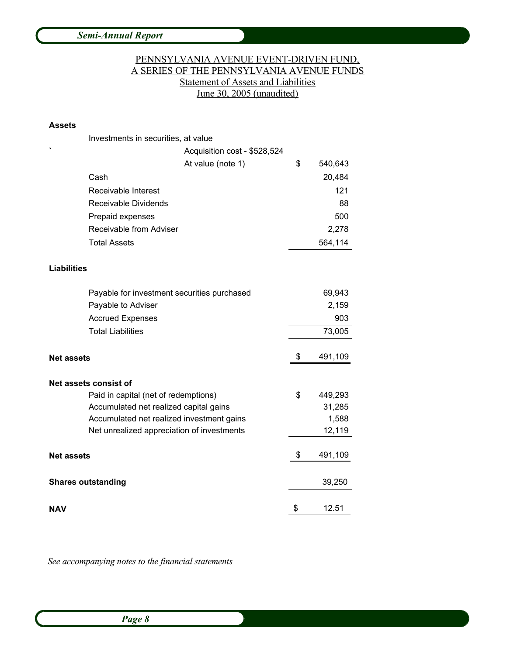# *Semi-Annual Report*

### PENNSYLVANIA AVENUE EVENT-DRIVEN FUND, A SERIES OF THE PENNSYLVANIA AVENUE FUNDS Statement of Assets and Liabilities June 30, 2005 (unaudited)

#### **Assets**

| Investments in securities, at value         |    |         |
|---------------------------------------------|----|---------|
| Acquisition cost - \$528,524                |    |         |
| At value (note 1)                           | \$ | 540,643 |
| Cash                                        |    | 20,484  |
| Receivable Interest                         |    | 121     |
| Receivable Dividends                        |    | 88      |
| Prepaid expenses                            |    | 500     |
| Receivable from Adviser                     |    | 2,278   |
| <b>Total Assets</b>                         |    | 564,114 |
| <b>Liabilities</b>                          |    |         |
| Payable for investment securities purchased |    | 69,943  |
| Payable to Adviser                          |    | 2,159   |
| <b>Accrued Expenses</b>                     |    | 903     |
| <b>Total Liabilities</b>                    |    | 73,005  |
| <b>Net assets</b>                           | \$ | 491,109 |
| Net assets consist of                       |    |         |
| Paid in capital (net of redemptions)        | \$ | 449,293 |
| Accumulated net realized capital gains      |    | 31,285  |
| Accumulated net realized investment gains   |    | 1,588   |
| Net unrealized appreciation of investments  |    | 12,119  |
| <b>Net assets</b>                           | \$ | 491,109 |
| <b>Shares outstanding</b>                   |    | 39,250  |
| <b>NAV</b>                                  | \$ | 12.51   |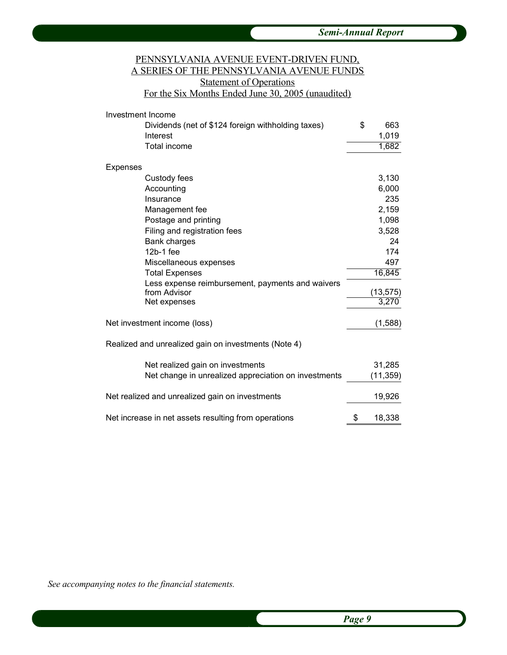# PENNSYLVANIA AVENUE EVENT-DRIVEN FUND, A SERIES OF THE PENNSYLVANIA AVENUE FUNDS **Statement of Operations**

For the Six Months Ended June 30, 2005 (unaudited)

| Investment Income                                    |              |
|------------------------------------------------------|--------------|
| Dividends (net of \$124 foreign withholding taxes)   | \$<br>663    |
| Interest                                             | 1,019        |
| <b>Total income</b>                                  | 1,682        |
| Expenses                                             |              |
| Custody fees                                         | 3,130        |
| Accounting                                           | 6,000        |
| Insurance                                            | 235          |
| Management fee                                       | 2,159        |
| Postage and printing                                 | 1,098        |
| Filing and registration fees                         | 3,528        |
| Bank charges                                         | 24           |
| $12b-1$ fee                                          | 174          |
| Miscellaneous expenses                               | 497          |
| <b>Total Expenses</b>                                | 16,845       |
| Less expense reimbursement, payments and waivers     |              |
| from Advisor                                         | (13, 575)    |
| Net expenses                                         | 3,270        |
| Net investment income (loss)                         | (1,588)      |
| Realized and unrealized gain on investments (Note 4) |              |
| Net realized gain on investments                     | 31,285       |
| Net change in unrealized appreciation on investments | (11, 359)    |
| Net realized and unrealized gain on investments      | 19,926       |
| Net increase in net assets resulting from operations | \$<br>18,338 |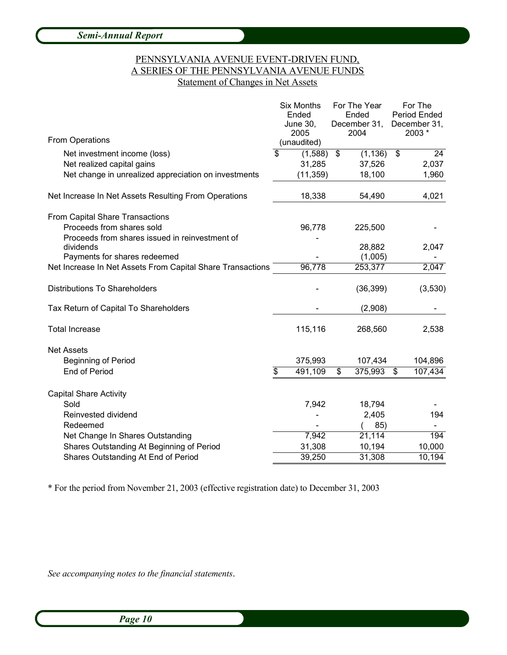#### PENNSYLVANIA AVENUE EVENT-DRIVEN FUND, A SERIES OF THE PENNSYLVANIA AVENUE FUNDS Statement of Changes in Net Assets

| \$<br>(1, 588)<br>\$<br>(1, 136)<br>\$<br>24<br>Net investment income (loss)<br>Net realized capital gains<br>31,285<br>37,526<br>2,037<br>Net change in unrealized appreciation on investments<br>(11, 359)<br>18,100<br>1,960<br>18,338<br>Net Increase In Net Assets Resulting From Operations<br>4,021<br>54,490<br>From Capital Share Transactions<br>Proceeds from shares sold<br>96,778<br>225,500<br>Proceeds from shares issued in reinvestment of<br>2,047<br>28,882<br>dividends<br>Payments for shares redeemed<br>(1,005)<br>2,047<br>96,778<br>253,377<br>Net Increase In Net Assets From Capital Share Transactions<br><b>Distributions To Shareholders</b><br>(3,530)<br>(36, 399)<br>Tax Return of Capital To Shareholders<br>(2,908)<br><b>Total Increase</b><br>115,116<br>268,560<br>2,538<br><b>Net Assets</b><br>375,993<br>107,434<br>104,896<br><b>Beginning of Period</b><br>491,109<br><b>End of Period</b><br>\$<br>\$<br>375,993<br>107,434<br>\$<br><b>Capital Share Activity</b><br>Sold<br>7,942<br>18,794<br>2,405<br>Reinvested dividend<br>194<br>85)<br>Redeemed<br>Net Change In Shares Outstanding<br>7,942<br>21,114<br>194<br>31,308<br>Shares Outstanding At Beginning of Period<br>10,194<br>10,000<br>31,308<br>Shares Outstanding At End of Period<br>39,250<br>10,194 | <b>From Operations</b> | <b>Six Months</b><br>Ended<br>June 30,<br>2005<br>(unaudited) | For The Year<br>Ended<br>December 31,<br>2004 | For The<br>Period Ended<br>December 31,<br>2003 * |
|-------------------------------------------------------------------------------------------------------------------------------------------------------------------------------------------------------------------------------------------------------------------------------------------------------------------------------------------------------------------------------------------------------------------------------------------------------------------------------------------------------------------------------------------------------------------------------------------------------------------------------------------------------------------------------------------------------------------------------------------------------------------------------------------------------------------------------------------------------------------------------------------------------------------------------------------------------------------------------------------------------------------------------------------------------------------------------------------------------------------------------------------------------------------------------------------------------------------------------------------------------------------------------------------------------------------|------------------------|---------------------------------------------------------------|-----------------------------------------------|---------------------------------------------------|
|                                                                                                                                                                                                                                                                                                                                                                                                                                                                                                                                                                                                                                                                                                                                                                                                                                                                                                                                                                                                                                                                                                                                                                                                                                                                                                                   |                        |                                                               |                                               |                                                   |
|                                                                                                                                                                                                                                                                                                                                                                                                                                                                                                                                                                                                                                                                                                                                                                                                                                                                                                                                                                                                                                                                                                                                                                                                                                                                                                                   |                        |                                                               |                                               |                                                   |
|                                                                                                                                                                                                                                                                                                                                                                                                                                                                                                                                                                                                                                                                                                                                                                                                                                                                                                                                                                                                                                                                                                                                                                                                                                                                                                                   |                        |                                                               |                                               |                                                   |
|                                                                                                                                                                                                                                                                                                                                                                                                                                                                                                                                                                                                                                                                                                                                                                                                                                                                                                                                                                                                                                                                                                                                                                                                                                                                                                                   |                        |                                                               |                                               |                                                   |
|                                                                                                                                                                                                                                                                                                                                                                                                                                                                                                                                                                                                                                                                                                                                                                                                                                                                                                                                                                                                                                                                                                                                                                                                                                                                                                                   |                        |                                                               |                                               |                                                   |
|                                                                                                                                                                                                                                                                                                                                                                                                                                                                                                                                                                                                                                                                                                                                                                                                                                                                                                                                                                                                                                                                                                                                                                                                                                                                                                                   |                        |                                                               |                                               |                                                   |
|                                                                                                                                                                                                                                                                                                                                                                                                                                                                                                                                                                                                                                                                                                                                                                                                                                                                                                                                                                                                                                                                                                                                                                                                                                                                                                                   |                        |                                                               |                                               |                                                   |
|                                                                                                                                                                                                                                                                                                                                                                                                                                                                                                                                                                                                                                                                                                                                                                                                                                                                                                                                                                                                                                                                                                                                                                                                                                                                                                                   |                        |                                                               |                                               |                                                   |
|                                                                                                                                                                                                                                                                                                                                                                                                                                                                                                                                                                                                                                                                                                                                                                                                                                                                                                                                                                                                                                                                                                                                                                                                                                                                                                                   |                        |                                                               |                                               |                                                   |
|                                                                                                                                                                                                                                                                                                                                                                                                                                                                                                                                                                                                                                                                                                                                                                                                                                                                                                                                                                                                                                                                                                                                                                                                                                                                                                                   |                        |                                                               |                                               |                                                   |
|                                                                                                                                                                                                                                                                                                                                                                                                                                                                                                                                                                                                                                                                                                                                                                                                                                                                                                                                                                                                                                                                                                                                                                                                                                                                                                                   |                        |                                                               |                                               |                                                   |
|                                                                                                                                                                                                                                                                                                                                                                                                                                                                                                                                                                                                                                                                                                                                                                                                                                                                                                                                                                                                                                                                                                                                                                                                                                                                                                                   |                        |                                                               |                                               |                                                   |
|                                                                                                                                                                                                                                                                                                                                                                                                                                                                                                                                                                                                                                                                                                                                                                                                                                                                                                                                                                                                                                                                                                                                                                                                                                                                                                                   |                        |                                                               |                                               |                                                   |
|                                                                                                                                                                                                                                                                                                                                                                                                                                                                                                                                                                                                                                                                                                                                                                                                                                                                                                                                                                                                                                                                                                                                                                                                                                                                                                                   |                        |                                                               |                                               |                                                   |
|                                                                                                                                                                                                                                                                                                                                                                                                                                                                                                                                                                                                                                                                                                                                                                                                                                                                                                                                                                                                                                                                                                                                                                                                                                                                                                                   |                        |                                                               |                                               |                                                   |
|                                                                                                                                                                                                                                                                                                                                                                                                                                                                                                                                                                                                                                                                                                                                                                                                                                                                                                                                                                                                                                                                                                                                                                                                                                                                                                                   |                        |                                                               |                                               |                                                   |
|                                                                                                                                                                                                                                                                                                                                                                                                                                                                                                                                                                                                                                                                                                                                                                                                                                                                                                                                                                                                                                                                                                                                                                                                                                                                                                                   |                        |                                                               |                                               |                                                   |
|                                                                                                                                                                                                                                                                                                                                                                                                                                                                                                                                                                                                                                                                                                                                                                                                                                                                                                                                                                                                                                                                                                                                                                                                                                                                                                                   |                        |                                                               |                                               |                                                   |
|                                                                                                                                                                                                                                                                                                                                                                                                                                                                                                                                                                                                                                                                                                                                                                                                                                                                                                                                                                                                                                                                                                                                                                                                                                                                                                                   |                        |                                                               |                                               |                                                   |
|                                                                                                                                                                                                                                                                                                                                                                                                                                                                                                                                                                                                                                                                                                                                                                                                                                                                                                                                                                                                                                                                                                                                                                                                                                                                                                                   |                        |                                                               |                                               |                                                   |
|                                                                                                                                                                                                                                                                                                                                                                                                                                                                                                                                                                                                                                                                                                                                                                                                                                                                                                                                                                                                                                                                                                                                                                                                                                                                                                                   |                        |                                                               |                                               |                                                   |
|                                                                                                                                                                                                                                                                                                                                                                                                                                                                                                                                                                                                                                                                                                                                                                                                                                                                                                                                                                                                                                                                                                                                                                                                                                                                                                                   |                        |                                                               |                                               |                                                   |
|                                                                                                                                                                                                                                                                                                                                                                                                                                                                                                                                                                                                                                                                                                                                                                                                                                                                                                                                                                                                                                                                                                                                                                                                                                                                                                                   |                        |                                                               |                                               |                                                   |
|                                                                                                                                                                                                                                                                                                                                                                                                                                                                                                                                                                                                                                                                                                                                                                                                                                                                                                                                                                                                                                                                                                                                                                                                                                                                                                                   |                        |                                                               |                                               |                                                   |

\* For the period from November 21, 2003 (effective registration date) to December 31, 2003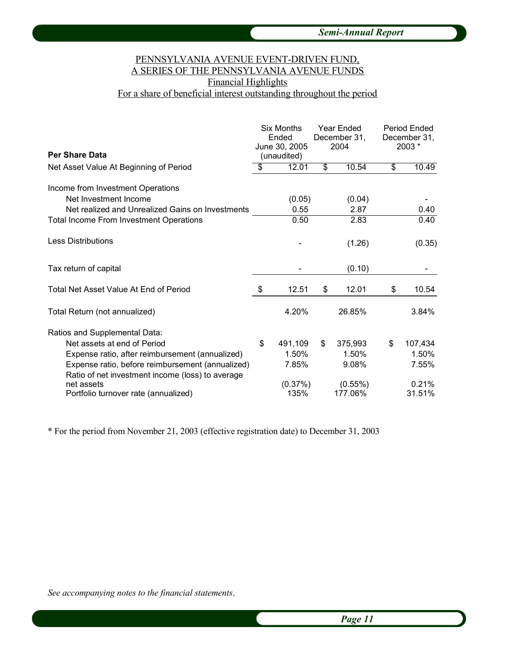### PENNSYLVANIA AVENUE EVENT-DRIVEN FUND, A SERIES OF THE PENNSYLVANIA AVENUE FUNDS Financial Highlights For a share of beneficial interest outstanding throughout the period

| <b>Per Share Data</b>                              |              | <b>Six Months</b><br>Ended<br>June 30, 2005<br>(unaudited) | Year Ended<br>December 31,<br>2004 | Period Ended<br>December 31,<br>2003 * |
|----------------------------------------------------|--------------|------------------------------------------------------------|------------------------------------|----------------------------------------|
| Net Asset Value At Beginning of Period             | \$           | 12.01                                                      | \$<br>10.54                        | \$<br>10.49                            |
| Income from Investment Operations                  |              |                                                            |                                    |                                        |
| Net Investment Income                              |              | (0.05)                                                     | (0.04)                             |                                        |
| Net realized and Unrealized Gains on Investments   |              | 0.55                                                       | 2.87                               | 0.40                                   |
| <b>Total Income From Investment Operations</b>     |              | 0.50                                                       | 2.83                               | 0.40                                   |
| <b>Less Distributions</b>                          |              |                                                            | (1.26)                             | (0.35)                                 |
| Tax return of capital                              |              |                                                            | (0.10)                             |                                        |
| Total Net Asset Value At End of Period             | \$           | 12.51                                                      | \$<br>12.01                        | \$<br>10.54                            |
| Total Return (not annualized)                      |              | 4.20%                                                      | 26.85%                             | 3.84%                                  |
| Ratios and Supplemental Data:                      |              |                                                            |                                    |                                        |
| Net assets at end of Period                        | $\mathbb{S}$ | 491,109                                                    | \$<br>375,993                      | \$<br>107,434                          |
| Expense ratio, after reimbursement (annualized)    |              | 1.50%                                                      | 1.50%                              | 1.50%                                  |
| Expense ratio, before reimbursement (annualized)   |              | 7.85%                                                      | 9.08%                              | 7.55%                                  |
| Ratio of net investment income (loss) to average   |              |                                                            |                                    |                                        |
| net assets<br>Portfolio turnover rate (annualized) |              | (0.37%)<br>135%                                            | $(0.55\%)$<br>177.06%              | 0.21%<br>31.51%                        |
|                                                    |              |                                                            |                                    |                                        |

\* For the period from November 21, 2003 (effective registration date) to December 31, 2003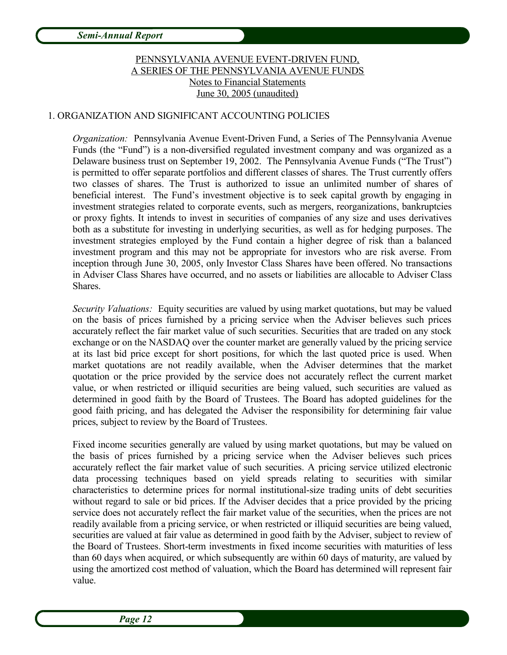*Semi-Annual Report* 

# PENNSYLVANIA AVENUE EVENT-DRIVEN FUND, A SERIES OF THE PENNSYLVANIA AVENUE FUNDS Notes to Financial Statements June 30, 2005 (unaudited)

### 1. ORGANIZATION AND SIGNIFICANT ACCOUNTING POLICIES

*Organization:* Pennsylvania Avenue Event-Driven Fund, a Series of The Pennsylvania Avenue Funds (the "Fund") is a non-diversified regulated investment company and was organized as a Delaware business trust on September 19, 2002. The Pennsylvania Avenue Funds ("The Trust") is permitted to offer separate portfolios and different classes of shares. The Trust currently offers two classes of shares. The Trust is authorized to issue an unlimited number of shares of beneficial interest. The Fund's investment objective is to seek capital growth by engaging in investment strategies related to corporate events, such as mergers, reorganizations, bankruptcies or proxy fights. It intends to invest in securities of companies of any size and uses derivatives both as a substitute for investing in underlying securities, as well as for hedging purposes. The investment strategies employed by the Fund contain a higher degree of risk than a balanced investment program and this may not be appropriate for investors who are risk averse. From inception through June 30, 2005, only Investor Class Shares have been offered. No transactions in Adviser Class Shares have occurred, and no assets or liabilities are allocable to Adviser Class Shares.

*Security Valuations:* Equity securities are valued by using market quotations, but may be valued on the basis of prices furnished by a pricing service when the Adviser believes such prices accurately reflect the fair market value of such securities. Securities that are traded on any stock exchange or on the NASDAQ over the counter market are generally valued by the pricing service at its last bid price except for short positions, for which the last quoted price is used. When market quotations are not readily available, when the Adviser determines that the market quotation or the price provided by the service does not accurately reflect the current market value, or when restricted or illiquid securities are being valued, such securities are valued as determined in good faith by the Board of Trustees. The Board has adopted guidelines for the good faith pricing, and has delegated the Adviser the responsibility for determining fair value prices, subject to review by the Board of Trustees.

Fixed income securities generally are valued by using market quotations, but may be valued on the basis of prices furnished by a pricing service when the Adviser believes such prices accurately reflect the fair market value of such securities. A pricing service utilized electronic data processing techniques based on yield spreads relating to securities with similar characteristics to determine prices for normal institutional-size trading units of debt securities without regard to sale or bid prices. If the Adviser decides that a price provided by the pricing service does not accurately reflect the fair market value of the securities, when the prices are not readily available from a pricing service, or when restricted or illiquid securities are being valued, securities are valued at fair value as determined in good faith by the Adviser, subject to review of the Board of Trustees. Short-term investments in fixed income securities with maturities of less than 60 days when acquired, or which subsequently are within 60 days of maturity, are valued by using the amortized cost method of valuation, which the Board has determined will represent fair value.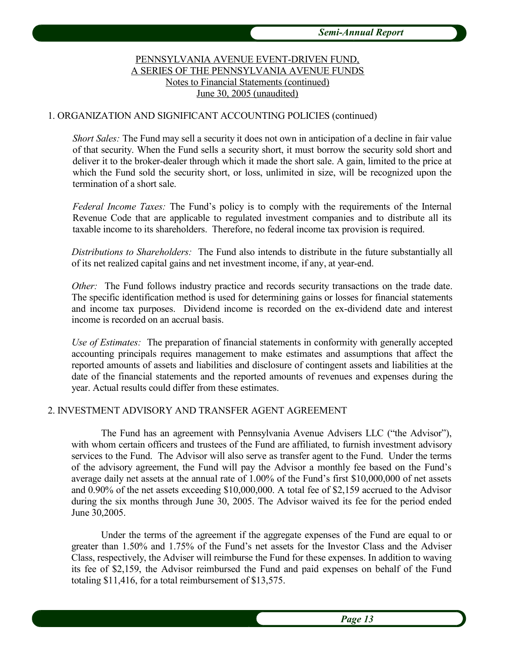### PENNSYLVANIA AVENUE EVENT-DRIVEN FUND, A SERIES OF THE PENNSYLVANIA AVENUE FUNDS Notes to Financial Statements (continued) June 30, 2005 (unaudited)

#### 1. ORGANIZATION AND SIGNIFICANT ACCOUNTING POLICIES (continued)

*Short Sales:* The Fund may sell a security it does not own in anticipation of a decline in fair value of that security. When the Fund sells a security short, it must borrow the security sold short and deliver it to the broker-dealer through which it made the short sale. A gain, limited to the price at which the Fund sold the security short, or loss, unlimited in size, will be recognized upon the termination of a short sale.

*Federal Income Taxes:* The Fund's policy is to comply with the requirements of the Internal Revenue Code that are applicable to regulated investment companies and to distribute all its taxable income to its shareholders. Therefore, no federal income tax provision is required.

*Distributions to Shareholders:* The Fund also intends to distribute in the future substantially all of its net realized capital gains and net investment income, if any, at year-end.

*Other:* The Fund follows industry practice and records security transactions on the trade date. The specific identification method is used for determining gains or losses for financial statements and income tax purposes. Dividend income is recorded on the ex-dividend date and interest income is recorded on an accrual basis.

*Use of Estimates:* The preparation of financial statements in conformity with generally accepted accounting principals requires management to make estimates and assumptions that affect the reported amounts of assets and liabilities and disclosure of contingent assets and liabilities at the date of the financial statements and the reported amounts of revenues and expenses during the year. Actual results could differ from these estimates.

#### 2. INVESTMENT ADVISORY AND TRANSFER AGENT AGREEMENT

The Fund has an agreement with Pennsylvania Avenue Advisers LLC ("the Advisor"), with whom certain officers and trustees of the Fund are affiliated, to furnish investment advisory services to the Fund. The Advisor will also serve as transfer agent to the Fund. Under the terms of the advisory agreement, the Fund will pay the Advisor a monthly fee based on the Fund's average daily net assets at the annual rate of 1.00% of the Fund's first \$10,000,000 of net assets and 0.90% of the net assets exceeding \$10,000,000. A total fee of \$2,159 accrued to the Advisor during the six months through June 30, 2005. The Advisor waived its fee for the period ended June 30,2005.

Under the terms of the agreement if the aggregate expenses of the Fund are equal to or greater than 1.50% and 1.75% of the Fund's net assets for the Investor Class and the Adviser Class, respectively, the Adviser will reimburse the Fund for these expenses. In addition to waving its fee of \$2,159, the Advisor reimbursed the Fund and paid expenses on behalf of the Fund totaling \$11,416, for a total reimbursement of \$13,575.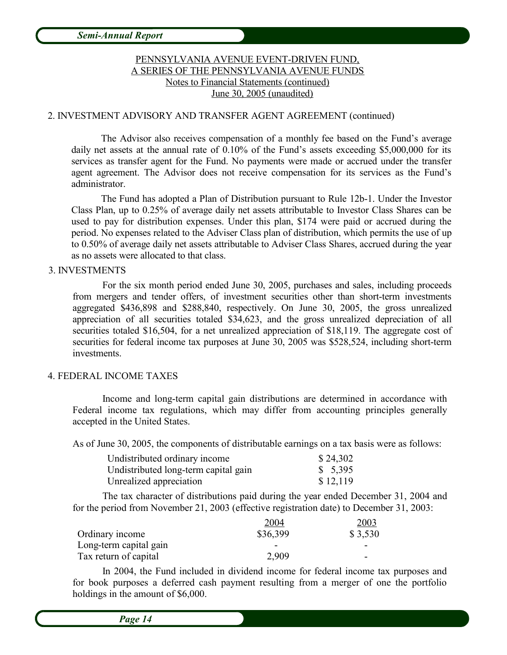# PENNSYLVANIA AVENUE EVENT-DRIVEN FUND, A SERIES OF THE PENNSYLVANIA AVENUE FUNDS Notes to Financial Statements (continued) June 30, 2005 (unaudited)

#### 2. INVESTMENT ADVISORY AND TRANSFER AGENT AGREEMENT (continued)

The Advisor also receives compensation of a monthly fee based on the Fund's average daily net assets at the annual rate of 0.10% of the Fund's assets exceeding \$5,000,000 for its services as transfer agent for the Fund. No payments were made or accrued under the transfer agent agreement. The Advisor does not receive compensation for its services as the Fund's administrator.

The Fund has adopted a Plan of Distribution pursuant to Rule 12b-1. Under the Investor Class Plan, up to 0.25% of average daily net assets attributable to Investor Class Shares can be used to pay for distribution expenses. Under this plan, \$174 were paid or accrued during the period. No expenses related to the Adviser Class plan of distribution, which permits the use of up to 0.50% of average daily net assets attributable to Adviser Class Shares, accrued during the year as no assets were allocated to that class.

#### 3. INVESTMENTS

For the six month period ended June 30, 2005, purchases and sales, including proceeds from mergers and tender offers, of investment securities other than short-term investments aggregated \$436,898 and \$288,840, respectively. On June 30, 2005, the gross unrealized appreciation of all securities totaled \$34,623, and the gross unrealized depreciation of all securities totaled \$16,504, for a net unrealized appreciation of \$18,119. The aggregate cost of securities for federal income tax purposes at June 30, 2005 was \$528,524, including short-term investments.

#### 4. FEDERAL INCOME TAXES

Income and long-term capital gain distributions are determined in accordance with Federal income tax regulations, which may differ from accounting principles generally accepted in the United States.

As of June 30, 2005, the components of distributable earnings on a tax basis were as follows:

| Undistributed ordinary income        | \$24,302 |
|--------------------------------------|----------|
| Undistributed long-term capital gain | \$5,395  |
| Unrealized appreciation              | \$12,119 |

The tax character of distributions paid during the year ended December 31, 2004 and for the period from November 21, 2003 (effective registration date) to December 31, 2003:

|                        | 2004     | 2003                     |
|------------------------|----------|--------------------------|
| Ordinary income        | \$36,399 | \$3,530                  |
| Long-term capital gain |          |                          |
| Tax return of capital  | 2,909    | $\overline{\phantom{0}}$ |

In 2004, the Fund included in dividend income for federal income tax purposes and for book purposes a deferred cash payment resulting from a merger of one the portfolio holdings in the amount of \$6,000.

|--|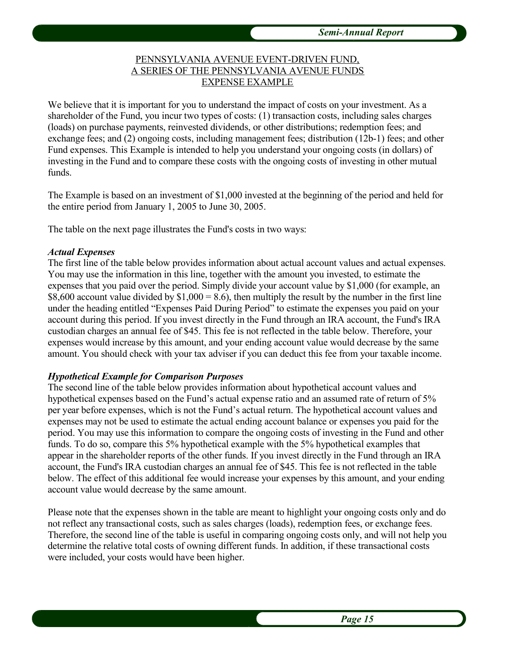### PENNSYLVANIA AVENUE EVENT-DRIVEN FUND, A SERIES OF THE PENNSYLVANIA AVENUE FUNDS EXPENSE EXAMPLE

We believe that it is important for you to understand the impact of costs on your investment. As a shareholder of the Fund, you incur two types of costs: (1) transaction costs, including sales charges (loads) on purchase payments, reinvested dividends, or other distributions; redemption fees; and exchange fees; and (2) ongoing costs, including management fees; distribution (12b-1) fees; and other Fund expenses. This Example is intended to help you understand your ongoing costs (in dollars) of investing in the Fund and to compare these costs with the ongoing costs of investing in other mutual funds.

The Example is based on an investment of \$1,000 invested at the beginning of the period and held for the entire period from January 1, 2005 to June 30, 2005.

The table on the next page illustrates the Fund's costs in two ways:

#### *Actual Expenses*

The first line of the table below provides information about actual account values and actual expenses. You may use the information in this line, together with the amount you invested, to estimate the expenses that you paid over the period. Simply divide your account value by \$1,000 (for example, an \$8,600 account value divided by  $$1,000 = 8.6$ ), then multiply the result by the number in the first line under the heading entitled "Expenses Paid During Period" to estimate the expenses you paid on your account during this period. If you invest directly in the Fund through an IRA account, the Fund's IRA custodian charges an annual fee of \$45. This fee is not reflected in the table below. Therefore, your expenses would increase by this amount, and your ending account value would decrease by the same amount. You should check with your tax adviser if you can deduct this fee from your taxable income.

#### *Hypothetical Example for Comparison Purposes*

The second line of the table below provides information about hypothetical account values and hypothetical expenses based on the Fund's actual expense ratio and an assumed rate of return of 5% per year before expenses, which is not the Fund's actual return. The hypothetical account values and expenses may not be used to estimate the actual ending account balance or expenses you paid for the period. You may use this information to compare the ongoing costs of investing in the Fund and other funds. To do so, compare this 5% hypothetical example with the 5% hypothetical examples that appear in the shareholder reports of the other funds. If you invest directly in the Fund through an IRA account, the Fund's IRA custodian charges an annual fee of \$45. This fee is not reflected in the table below. The effect of this additional fee would increase your expenses by this amount, and your ending account value would decrease by the same amount.

Please note that the expenses shown in the table are meant to highlight your ongoing costs only and do not reflect any transactional costs, such as sales charges (loads), redemption fees, or exchange fees. Therefore, the second line of the table is useful in comparing ongoing costs only, and will not help you determine the relative total costs of owning different funds. In addition, if these transactional costs were included, your costs would have been higher.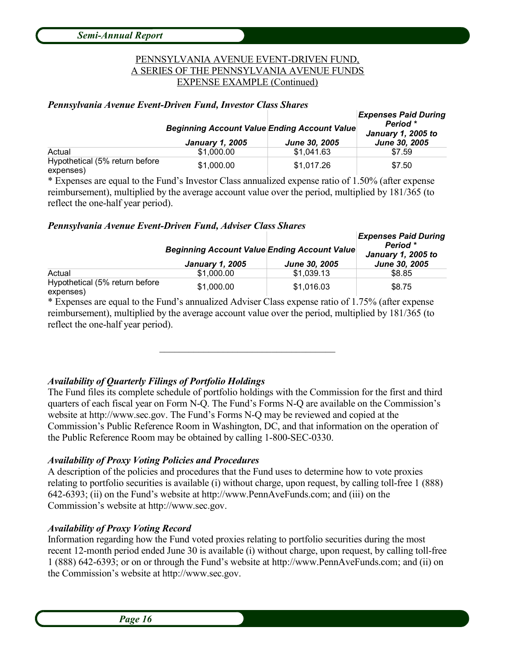### PENNSYLVANIA AVENUE EVENT-DRIVEN FUND, A SERIES OF THE PENNSYLVANIA AVENUE FUNDS EXPENSE EXAMPLE (Continued)

# *Pennsylvania Avenue Event-Driven Fund, Investor Class Shares*

|                                             | <b>Beginning Account Value Ending Account Value</b> |                      | <b>Expenses Paid During</b><br>Period *<br>January 1, 2005 to |
|---------------------------------------------|-----------------------------------------------------|----------------------|---------------------------------------------------------------|
|                                             | <b>January 1, 2005</b>                              | <b>June 30, 2005</b> | June 30, 2005                                                 |
| Actual                                      | \$1,000.00                                          | \$1,041.63           | \$7.59                                                        |
| Hypothetical (5% return before<br>expenses) | \$1,000.00                                          | \$1,017.26           | \$7.50                                                        |

\* Expenses are equal to the Fund's Investor Class annualized expense ratio of 1.50% (after expense reimbursement), multiplied by the average account value over the period, multiplied by 181/365 (to reflect the one-half year period).

#### *Pennsylvania Avenue Event-Driven Fund, Adviser Class Shares*

|                                             | <b>Beginning Account Value Ending Account Value</b><br><b>January 1, 2005</b> | <b>June 30, 2005</b> | <b>Expenses Paid During</b><br>Period *<br>January 1, 2005 to<br><b>June 30, 2005</b> |
|---------------------------------------------|-------------------------------------------------------------------------------|----------------------|---------------------------------------------------------------------------------------|
| Actual                                      | \$1,000.00                                                                    | \$1,039.13           | \$8.85                                                                                |
| Hypothetical (5% return before<br>expenses) | \$1,000.00                                                                    | \$1,016.03           | \$8.75                                                                                |

\* Expenses are equal to the Fund's annualized Adviser Class expense ratio of 1.75% (after expense reimbursement), multiplied by the average account value over the period, multiplied by 181/365 (to reflect the one-half year period).

 $\mathcal{L}_\text{max}$  , and the set of the set of the set of the set of the set of the set of the set of the set of the set of the set of the set of the set of the set of the set of the set of the set of the set of the set of the

### *Availability of Quarterly Filings of Portfolio Holdings*

The Fund files its complete schedule of portfolio holdings with the Commission for the first and third quarters of each fiscal year on Form N-Q. The Fund's Forms N-Q are available on the Commission's website at http://www.sec.gov. The Fund's Forms N-Q may be reviewed and copied at the Commission's Public Reference Room in Washington, DC, and that information on the operation of the Public Reference Room may be obtained by calling 1-800-SEC-0330.

### *Availability of Proxy Voting Policies and Procedures*

A description of the policies and procedures that the Fund uses to determine how to vote proxies relating to portfolio securities is available (i) without charge, upon request, by calling toll-free 1 (888) 642-6393; (ii) on the Fund's website at http://www.PennAveFunds.com; and (iii) on the Commission's website at http://www.sec.gov.

### *Availability of Proxy Voting Record*

Information regarding how the Fund voted proxies relating to portfolio securities during the most recent 12-month period ended June 30 is available (i) without charge, upon request, by calling toll-free 1 (888) 642-6393; or on or through the Fund's website at http://www.PennAveFunds.com; and (ii) on the Commission's website at http://www.sec.gov.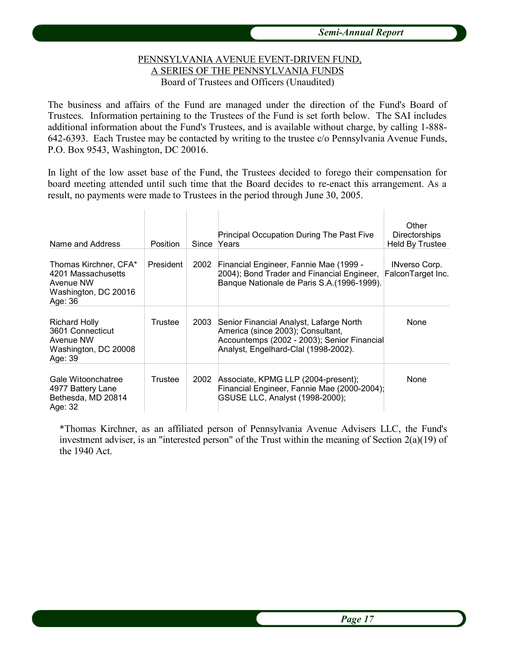#### PENNSYLVANIA AVENUE EVENT-DRIVEN FUND, A SERIES OF THE PENNSYLVANIA FUNDS Board of Trustees and Officers (Unaudited)

The business and affairs of the Fund are managed under the direction of the Fund's Board of Trustees. Information pertaining to the Trustees of the Fund is set forth below. The SAI includes additional information about the Fund's Trustees, and is available without charge, by calling 1-888- 642-6393. Each Trustee may be contacted by writing to the trustee c/o Pennsylvania Avenue Funds, P.O. Box 9543, Washington, DC 20016.

In light of the low asset base of the Fund, the Trustees decided to forego their compensation for board meeting attended until such time that the Board decides to re-enact this arrangement. As a result, no payments were made to Trustees in the period through June 30, 2005.

| Name and Address                                                                            | Position  | Since | <b>Principal Occupation During The Past Five</b><br>Years                                                                                                           | Other<br><b>Directorships</b><br>Held By Trustee |
|---------------------------------------------------------------------------------------------|-----------|-------|---------------------------------------------------------------------------------------------------------------------------------------------------------------------|--------------------------------------------------|
| Thomas Kirchner, CFA*<br>4201 Massachusetts<br>Avenue NW<br>Washington, DC 20016<br>Age: 36 | President | 2002  | Financial Engineer, Fannie Mae (1999 -<br>2004); Bond Trader and Financial Engineer,<br>Banque Nationale de Paris S.A.(1996-1999).                                  | <b>INverso Corp.</b><br>FalconTarget Inc.        |
| Richard Holly<br>3601 Connecticut<br>Avenue NW<br>Washington, DC 20008<br>Age: 39           | Trustee   | 2003  | Senior Financial Analyst, Lafarge North<br>America (since 2003); Consultant,<br>Accountemps (2002 - 2003); Senior Financial<br>Analyst, Engelhard-Clal (1998-2002). | None                                             |
| Gale Witoonchatree<br>4977 Battery Lane<br>Bethesda, MD 20814<br>Age: 32                    | Trustee   | 2002  | Associate, KPMG LLP (2004-present);<br>Financial Engineer, Fannie Mae (2000-2004);<br>GSUSE LLC, Analyst (1998-2000);                                               | None                                             |

\*Thomas Kirchner, as an affiliated person of Pennsylvania Avenue Advisers LLC, the Fund's investment adviser, is an "interested person" of the Trust within the meaning of Section 2(a)(19) of the 1940 Act.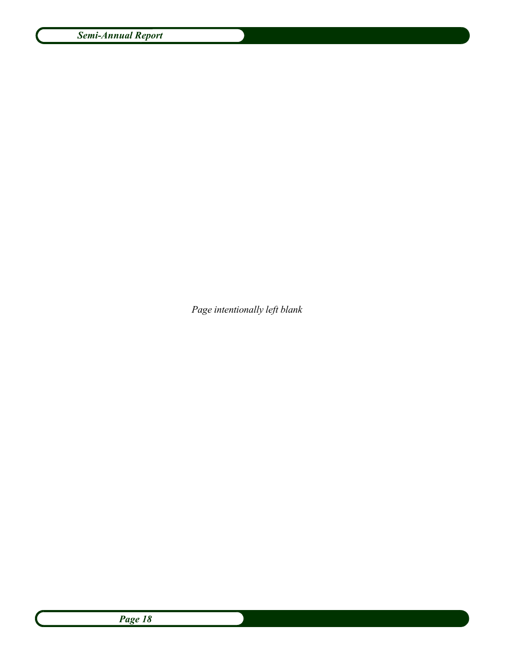*Page intentionally left blank*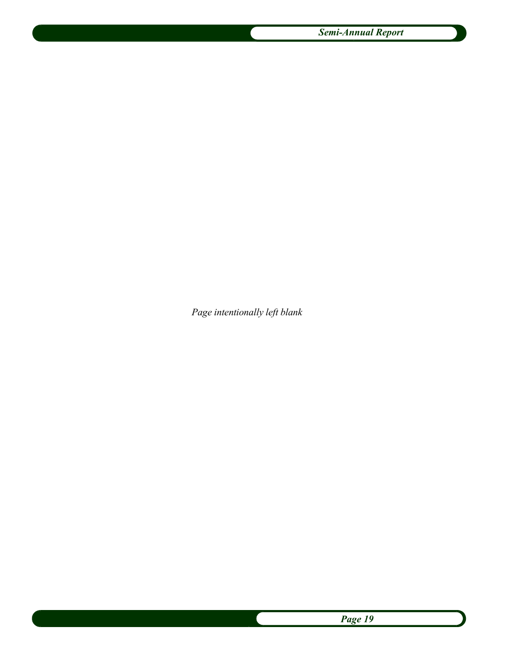*Page intentionally left blank*